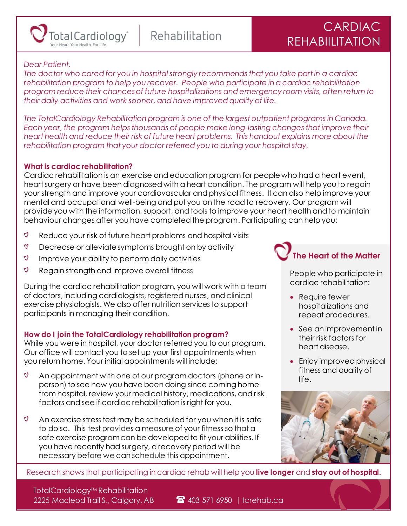

Rehabilitation

# CARDIAC REHABIILITATION

# *Dear Patient,*

*The doctor who cared for you in hospital strongly recommends that you take part in a cardiac rehabilitation program to help you recover. People who participate in a cardiac rehabilitation program reduce their chances of future hospitalizations and emergency room visits, often return to their daily activities and work sooner, and have improved quality of life.* 

*The TotalCardiology Rehabilitation program is one of the largest outpatient programs in Canada. Each year, the program helps thousands of people make long-lasting changes that improve their heart health and reduce their risk of future heart problems. This handout explains more about the rehabilitation program that your doctor referred you to during your hospital stay.*

### **What is cardiac rehabilitation?**

Cardiac rehabilitation is an exercise and education program for people who had a heart event, heart surgery or have been diagnosed with a heart condition. The program will help you to regain your strength and improve your cardiovascular and physical fitness. It can also help improve your mental and occupational well-being and put you on the road to recovery. Our program will provide you with the information, support, and tools to improve your heart health and to maintain behaviour changes after you have completed the program. Participating can help you:

- $\mathcal{O}$ Reduce your risk of future heart problems and hospital visits
- $\circ$ Decrease or alleviate symptoms brought on by activity
- $\circ$ Improve your ability to perform daily activities
- $\circ$ Regain strength and improve overall fitness

During the cardiac rehabilitation program, you will work with a team of doctors, including cardiologists, registered nurses, and clinical exercise physiologists. We also offer nutrition services to support participants in managing their condition.

# **How do I join the TotalCardiology rehabilitation program?**

While you were in hospital, your doctor referred you to our program. Our office will contact you to set up your first appointments when you return home. Your initial appointments will include:

- $\overline{Q}$ An appointment with one of our program doctors (phone or inperson) to see how you have been doing since coming home from hospital, review your medical history, medications, and risk factors and see if cardiac rehabilitation is right for you.
- $\circ$ An exercise stress test may be scheduled for you when it is safe to do so. This test provides a measure of your fitness so that a safe exercise program can be developed to fit your abilities. If you have recently had surgery, a recovery period will be necessary before we can schedule this appointment.

**The Heart of the Matter**

People who participate in cardiac rehabilitation:

- Require fewer hospitalizations and repeat procedures.
- See an improvement in their risk factors for heart disease.
- Enjoy improved physical fitness and quality of life.



Research shows that participating in cardiac rehab will help you **live longer** and **stay out of hospital.**

TotalCardiology™ Rehabilitation 2225 Macleod Trail S., Calgary, AB  $\bullet$  403 571 6950 | tcrehab.ca